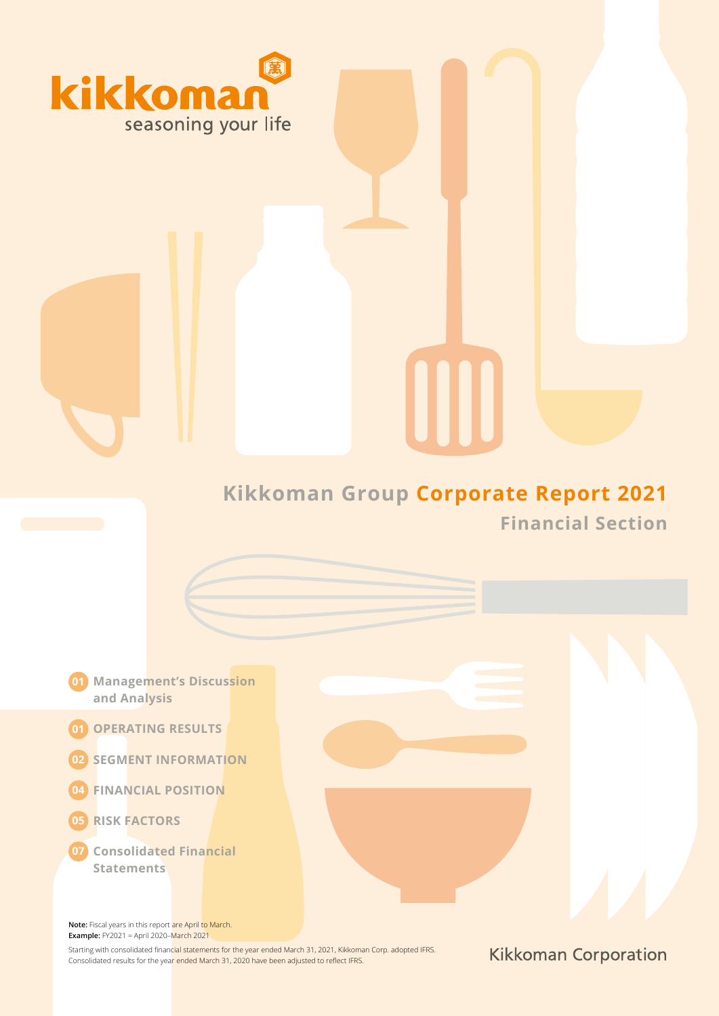

# **Kikkoman Group Corporate Report 2021 Financial Section**

IIII

- **Management's Discussion 01 and Analysis**
- **OPERATING RESULTS 01**
- **02 SEGMENT INFORMATION**
- **FINANCIAL POSITION 04**
- **RISK FACTORS 05**
- **Consolidated Financial 07Statements**

**Note:** Fiscal years in this report are April to March. **Example:** FY2021 = April 2020–March 2021

Starting with consolidated financial statements for the year ended March 31, 2021, Kikkoman Corp. adopted IFRS. Consolidated results for the year ended March 31, 2020 have been adjusted to reflect IFRS.

**Kikkoman Corporation**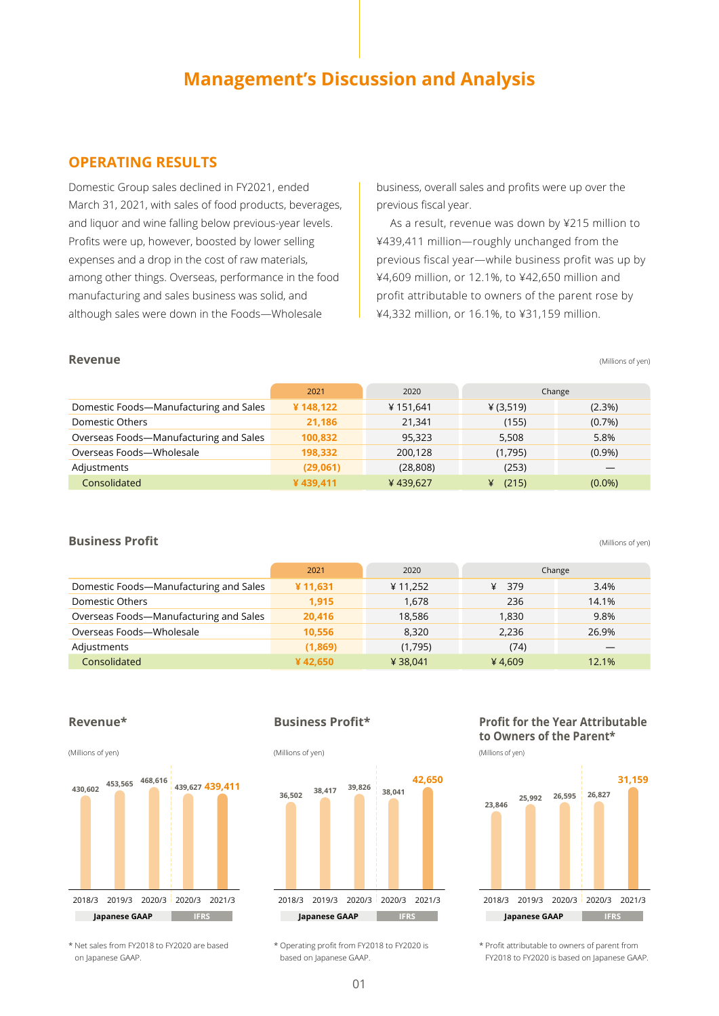# **Management's Discussion and Analysis**

# **OPERATING RESULTS**

Domestic Group sales declined in FY2021, ended March 31, 2021, with sales of food products, beverages, and liquor and wine falling below previous-year levels. Profits were up, however, boosted by lower selling expenses and a drop in the cost of raw materials, among other things. Overseas, performance in the food manufacturing and sales business was solid, and although sales were down in the Foods—Wholesale

business, overall sales and profits were up over the previous fiscal year.

As a result, revenue was down by ¥215 million to ¥439,411 million—roughly unchanged from the previous fiscal year—while business profit was up by ¥4,609 million, or 12.1%, to ¥42,650 million and profit attributable to owners of the parent rose by ¥4,332 million, or 16.1%, to ¥31,159 million.

#### **Revenue** (Millions of yen)

|                                        | 2021     | 2020      | Change    |           |
|----------------------------------------|----------|-----------|-----------|-----------|
| Domestic Foods-Manufacturing and Sales | ¥148,122 | ¥151,641  | ¥ (3,519) | $(2.3\%)$ |
| Domestic Others                        | 21,186   | 21,341    | (155)     | $(0.7\%)$ |
| Overseas Foods-Manufacturing and Sales | 100,832  | 95.323    | 5.508     | 5.8%      |
| Overseas Foods-Wholesale               | 198,332  | 200,128   | (1,795)   | $(0.9\%)$ |
| Adjustments                            | (29,061) | (28, 808) | (253)     |           |
| Consolidated                           | ¥439.411 | ¥439.627  | (215)     | $(0.0\%)$ |

**Business Profit** (Millions of yen)

|                                        | 2021    | 2020    |          | Change |
|----------------------------------------|---------|---------|----------|--------|
| Domestic Foods-Manufacturing and Sales | ¥11,631 | ¥11,252 | ¥<br>379 | 3.4%   |
| Domestic Others                        | 1.915   | 1.678   | 236      | 14.1%  |
| Overseas Foods-Manufacturing and Sales | 20.416  | 18,586  | 1.830    | 9.8%   |
| Overseas Foods-Wholesale               | 10,556  | 8.320   | 2.236    | 26.9%  |
| Adjustments                            | (1,869) | (1,795) | (74)     |        |
| Consolidated                           | ¥42.650 | ¥38.041 | ¥4.609   | 12.1%  |

#### **Revenue\***



## **Business Profit\***



# **Profit for the Year Attributable to Owners of the Parent\***



\* Net sales from FY2018 to FY2020 are based on Japanese GAAP.

\* Operating profit from FY2018 to FY2020 is based on Japanese GAAP.

\* Profit attributable to owners of parent from FY2018 to FY2020 is based on Japanese GAAP.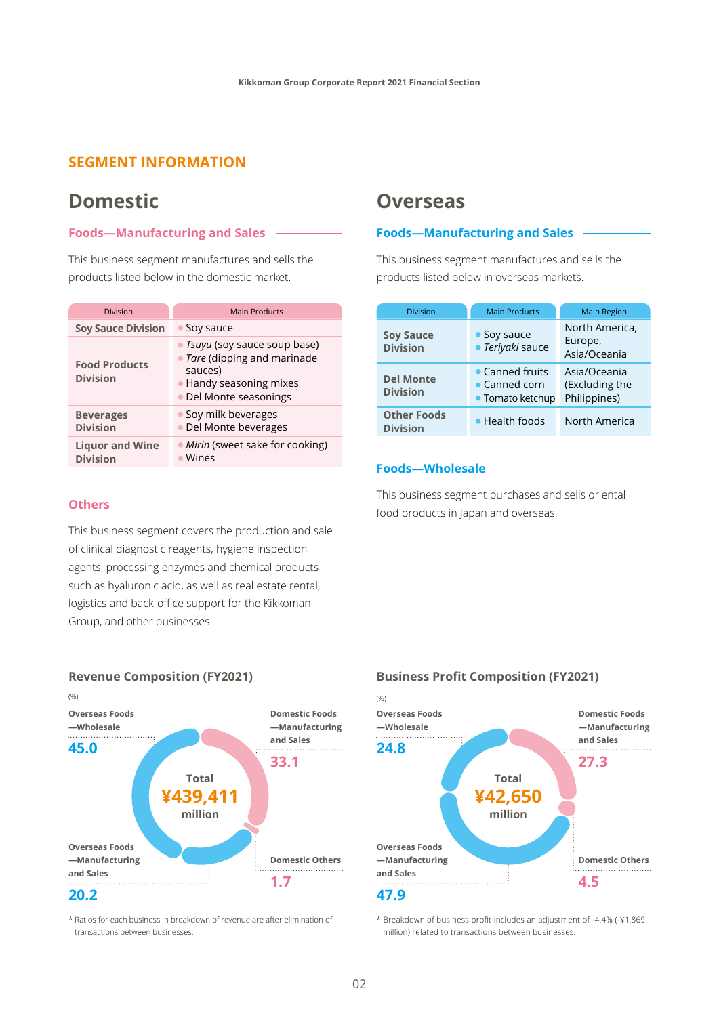# **SEGMENT INFORMATION**

# **Domestic Overseas**

#### **Foods—Manufacturing and Sales**

This business segment manufactures and sells the products listed below in the domestic market.

| Division                                  | <b>Main Products</b>                                                                                                          |  |
|-------------------------------------------|-------------------------------------------------------------------------------------------------------------------------------|--|
| <b>Soy Sauce Division</b>                 | • Soy sauce                                                                                                                   |  |
| <b>Food Products</b><br><b>Division</b>   | • Tsuyu (soy sauce soup base)<br>• Tare (dipping and marinade<br>sauces)<br>• Handy seasoning mixes<br>• Del Monte seasonings |  |
| <b>Beverages</b><br><b>Division</b>       | • Soy milk beverages<br>· Del Monte beverages                                                                                 |  |
| <b>Liquor and Wine</b><br><b>Division</b> | • Mirin (sweet sake for cooking)<br>Wines                                                                                     |  |

#### **Foods—Manufacturing and Sales**

This business segment manufactures and sells the products listed below in overseas markets.

| <b>Division</b>                       | <b>Main Products</b>                                 | <b>Main Region</b>                             |  |
|---------------------------------------|------------------------------------------------------|------------------------------------------------|--|
| <b>Soy Sauce</b><br><b>Division</b>   | • Soy sauce<br>· Teriyaki sauce                      | North America,<br>Europe,<br>Asia/Oceania      |  |
| <b>Del Monte</b><br><b>Division</b>   | • Canned fruits<br>• Canned corn<br>• Tomato ketchup | Asia/Oceania<br>(Excluding the<br>Philippines) |  |
| <b>Other Foods</b><br><b>Division</b> | • Health foods                                       | North America                                  |  |

## **Foods—Wholesale**

**Others This business segment purchases and sells oriental** food products in Japan and overseas.

This business segment covers the production and sale of clinical diagnostic reagents, hygiene inspection agents, processing enzymes and chemical products such as hyaluronic acid, as well as real estate rental, logistics and back-office support for the Kikkoman Group, and other businesses.



\* Ratios for each business in breakdown of revenue are after elimination of transactions between businesses.

#### **Business Profit Composition (FY2021)**



\* Breakdown of business profit includes an adjustment of -4.4% (-¥1,869 million) related to transactions between businesses.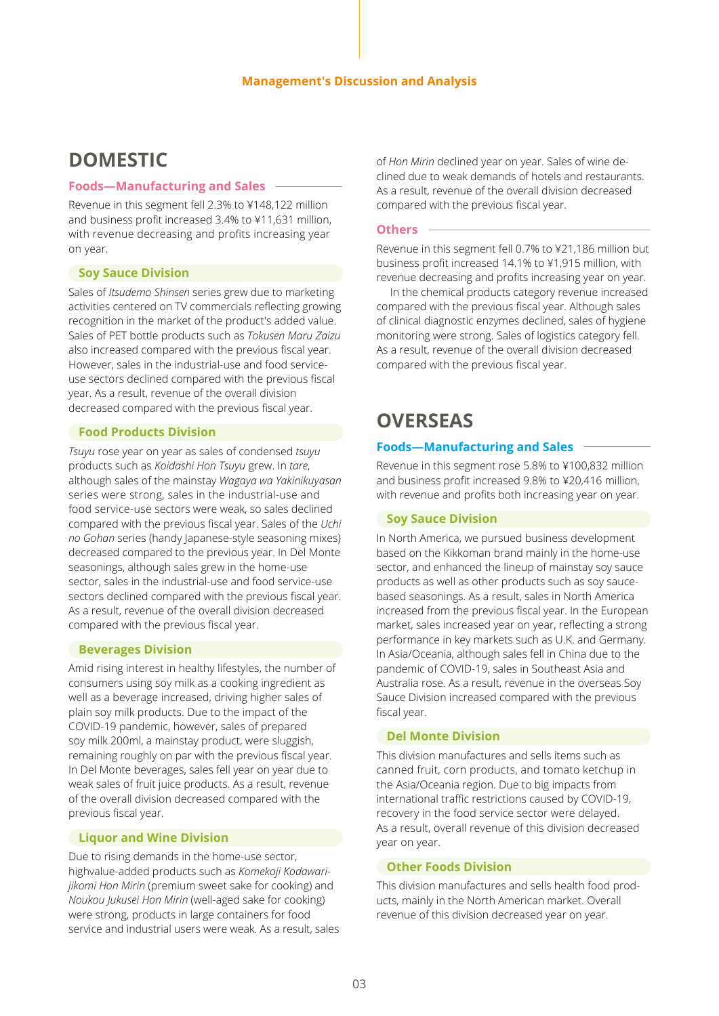#### **Foods—Manufacturing and Sales**

Revenue in this segment fell 2.3% to ¥148,122 million and business profit increased 3.4% to ¥11,631 million, with revenue decreasing and profits increasing year on year.

#### **Soy Sauce Division**

Sales of *Itsudemo Shinsen* series grew due to marketing activities centered on TV commercials reflecting growing recognition in the market of the product's added value. Sales of PET bottle products such as *Tokusen Maru Zaizu* also increased compared with the previous fiscal year. However, sales in the industrial-use and food serviceuse sectors declined compared with the previous fiscal year. As a result, revenue of the overall division decreased compared with the previous fiscal year.

#### **Food Products Division**

*Tsuyu* rose year on year as sales of condensed *tsuyu* products such as *Koidashi Hon Tsuyu* grew. In *tare*, although sales of the mainstay *Wagaya wa Yakinikuyasan* series were strong, sales in the industrial-use and food service-use sectors were weak, so sales declined compared with the previous fiscal year. Sales of the *Uchi no Gohan* series (handy Japanese-style seasoning mixes) decreased compared to the previous year. In Del Monte seasonings, although sales grew in the home-use sector, sales in the industrial-use and food service-use sectors declined compared with the previous fiscal year. As a result, revenue of the overall division decreased compared with the previous fiscal year.

#### **Beverages Division**

Amid rising interest in healthy lifestyles, the number of consumers using soy milk as a cooking ingredient as well as a beverage increased, driving higher sales of plain soy milk products. Due to the impact of the COVID-19 pandemic, however, sales of prepared soy milk 200ml, a mainstay product, were sluggish, remaining roughly on par with the previous fiscal year. In Del Monte beverages, sales fell year on year due to weak sales of fruit juice products. As a result, revenue of the overall division decreased compared with the previous fiscal year.

#### **Liquor and Wine Division**

Due to rising demands in the home-use sector, highvalue-added products such as *Komekoji Kodawarijikomi Hon Mirin* (premium sweet sake for cooking) and *Noukou Jukusei Hon Mirin* (well-aged sake for cooking) were strong, products in large containers for food service and industrial users were weak. As a result, sales

**DOMESTIC DOMESTIC** of *Hon Mirin* declined year on year. Sales of wine declined due to weak demands of hotels and restaurants. As a result, revenue of the overall division decreased compared with the previous fiscal year.

#### **Others**

Revenue in this segment fell 0.7% to ¥21,186 million but business profit increased 14.1% to ¥1,915 million, with revenue decreasing and profits increasing year on year.

In the chemical products category revenue increased compared with the previous fiscal year. Although sales of clinical diagnostic enzymes declined, sales of hygiene monitoring were strong. Sales of logistics category fell. As a result, revenue of the overall division decreased compared with the previous fiscal year.

# **OVERSEAS**

#### **Foods—Manufacturing and Sales**

Revenue in this segment rose 5.8% to ¥100,832 million and business profit increased 9.8% to ¥20,416 million, with revenue and profits both increasing year on year.

#### **Soy Sauce Division**

In North America, we pursued business development based on the Kikkoman brand mainly in the home-use sector, and enhanced the lineup of mainstay soy sauce products as well as other products such as soy saucebased seasonings. As a result, sales in North America increased from the previous fiscal year. In the European market, sales increased year on year, reflecting a strong performance in key markets such as U.K. and Germany. In Asia/Oceania, although sales fell in China due to the pandemic of COVID-19, sales in Southeast Asia and Australia rose. As a result, revenue in the overseas Soy Sauce Division increased compared with the previous fiscal year.

#### **Del Monte Division**

This division manufactures and sells items such as canned fruit, corn products, and tomato ketchup in the Asia/Oceania region. Due to big impacts from international traffic restrictions caused by COVID-19, recovery in the food service sector were delayed. As a result, overall revenue of this division decreased year on year.

#### **Other Foods Division**

This division manufactures and sells health food products, mainly in the North American market. Overall revenue of this division decreased year on year.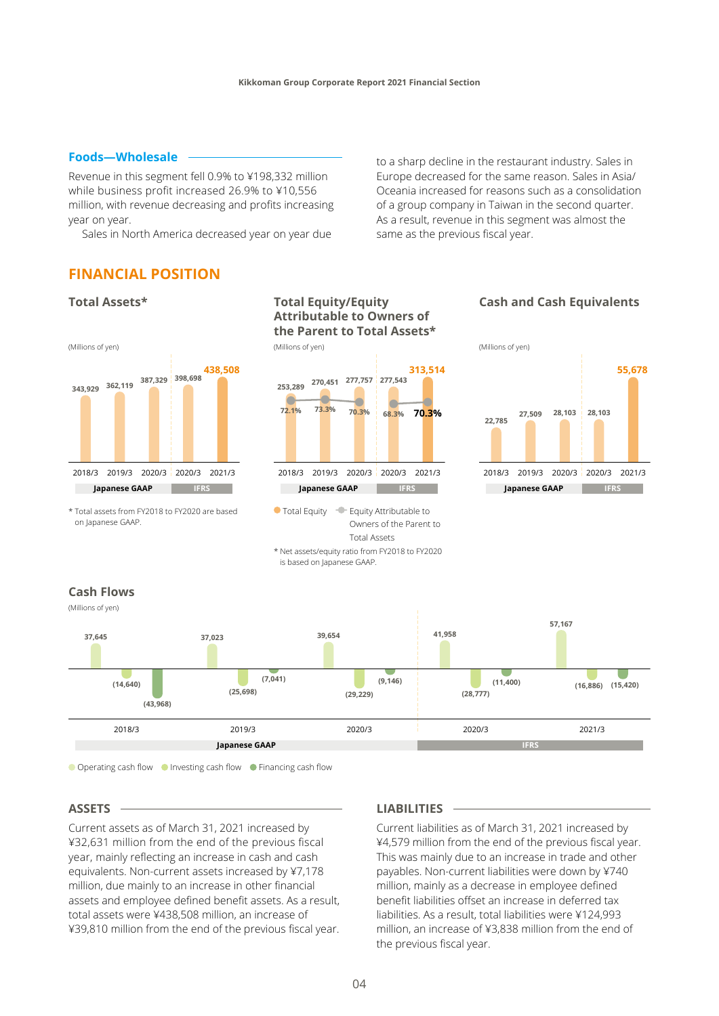Revenue in this segment fell 0.9% to ¥198,332 million while business profit increased 26.9% to ¥10,556 million, with revenue decreasing and profits increasing year on year.

Sales in North America decreased year on year due

**Foods—Wholesale Exercise 2018** to a sharp decline in the restaurant industry. Sales in Europe decreased for the same reason. Sales in Asia/ Oceania increased for reasons such as a consolidation of a group company in Taiwan in the second quarter. As a result, revenue in this segment was almost the same as the previous fiscal year.

## **FINANCIAL POSITION**



● Operating cash flow ● Investing cash flow ● Financing cash flow

#### **ASSETS**

Current assets as of March 31, 2021 increased by ¥32,631 million from the end of the previous fiscal year, mainly reflecting an increase in cash and cash equivalents. Non-current assets increased by ¥7,178 million, due mainly to an increase in other financial assets and employee defined benefit assets. As a result, total assets were ¥438,508 million, an increase of ¥39,810 million from the end of the previous fiscal year.

#### **LIABILITIES**

Current liabilities as of March 31, 2021 increased by ¥4,579 million from the end of the previous fiscal year. This was mainly due to an increase in trade and other payables. Non-current liabilities were down by ¥740 million, mainly as a decrease in employee defined benefit liabilities offset an increase in deferred tax liabilities. As a result, total liabilities were ¥124,993 million, an increase of ¥3,838 million from the end of the previous fiscal year.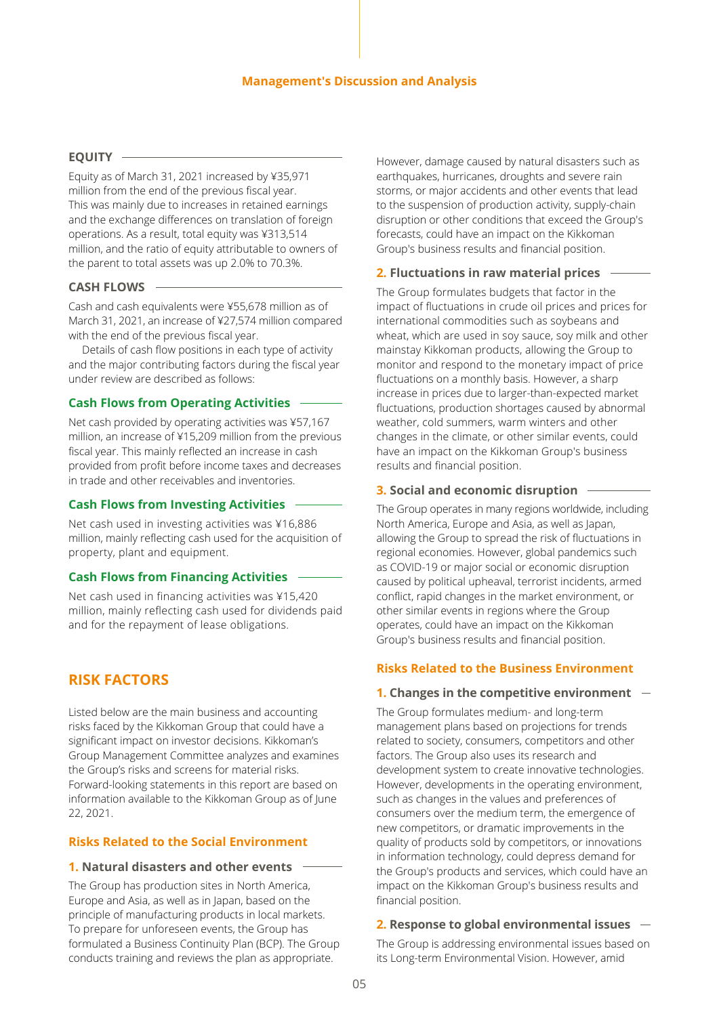#### **Management's Discussion and Analysis**

#### **EQUITY**

Equity as of March 31, 2021 increased by ¥35,971 million from the end of the previous fiscal year. This was mainly due to increases in retained earnings and the exchange differences on translation of foreign operations. As a result, total equity was ¥313,514 million, and the ratio of equity attributable to owners of the parent to total assets was up 2.0% to 70.3%.

#### **CASH FLOWS**

Cash and cash equivalents were ¥55,678 million as of March 31, 2021, an increase of ¥27,574 million compared with the end of the previous fiscal year.

Details of cash flow positions in each type of activity and the major contributing factors during the fiscal year under review are described as follows:

### **Cash Flows from Operating Activities**

Net cash provided by operating activities was ¥57,167 million, an increase of ¥15,209 million from the previous fiscal year. This mainly reflected an increase in cash provided from profit before income taxes and decreases in trade and other receivables and inventories.

#### **Cash Flows from Investing Activities**

Net cash used in investing activities was ¥16,886 million, mainly reflecting cash used for the acquisition of property, plant and equipment.

#### **Cash Flows from Financing Activities**

Net cash used in financing activities was ¥15,420 million, mainly reflecting cash used for dividends paid and for the repayment of lease obligations.

# **RISK FACTORS**

Listed below are the main business and accounting risks faced by the Kikkoman Group that could have a significant impact on investor decisions. Kikkoman's Group Management Committee analyzes and examines the Group's risks and screens for material risks. Forward-looking statements in this report are based on information available to the Kikkoman Group as of June 22, 2021.

#### **Risks Related to the Social Environment**

#### **1. Natural disasters and other events**

The Group has production sites in North America, Europe and Asia, as well as in Japan, based on the principle of manufacturing products in local markets. To prepare for unforeseen events, the Group has formulated a Business Continuity Plan (BCP). The Group conducts training and reviews the plan as appropriate.

However, damage caused by natural disasters such as earthquakes, hurricanes, droughts and severe rain storms, or major accidents and other events that lead to the suspension of production activity, supply-chain disruption or other conditions that exceed the Group's forecasts, could have an impact on the Kikkoman Group's business results and financial position.

## **2. Fluctuations in raw material prices**

The Group formulates budgets that factor in the impact of fluctuations in crude oil prices and prices for international commodities such as soybeans and wheat, which are used in soy sauce, soy milk and other mainstay Kikkoman products, allowing the Group to monitor and respond to the monetary impact of price fluctuations on a monthly basis. However, a sharp increase in prices due to larger-than-expected market fluctuations, production shortages caused by abnormal weather, cold summers, warm winters and other changes in the climate, or other similar events, could have an impact on the Kikkoman Group's business results and financial position.

#### **3. Social and economic disruption**

The Group operates in many regions worldwide, including North America, Europe and Asia, as well as Japan, allowing the Group to spread the risk of fluctuations in regional economies. However, global pandemics such as COVID-19 or major social or economic disruption caused by political upheaval, terrorist incidents, armed conflict, rapid changes in the market environment, or other similar events in regions where the Group operates, could have an impact on the Kikkoman Group's business results and financial position.

### **Risks Related to the Business Environment**

#### **1. Changes in the competitive environment**

The Group formulates medium- and long-term management plans based on projections for trends related to society, consumers, competitors and other factors. The Group also uses its research and development system to create innovative technologies. However, developments in the operating environment, such as changes in the values and preferences of consumers over the medium term, the emergence of new competitors, or dramatic improvements in the quality of products sold by competitors, or innovations in information technology, could depress demand for the Group's products and services, which could have an impact on the Kikkoman Group's business results and financial position.

#### **2. Response to global environmental issues**

The Group is addressing environmental issues based on its Long-term Environmental Vision. However, amid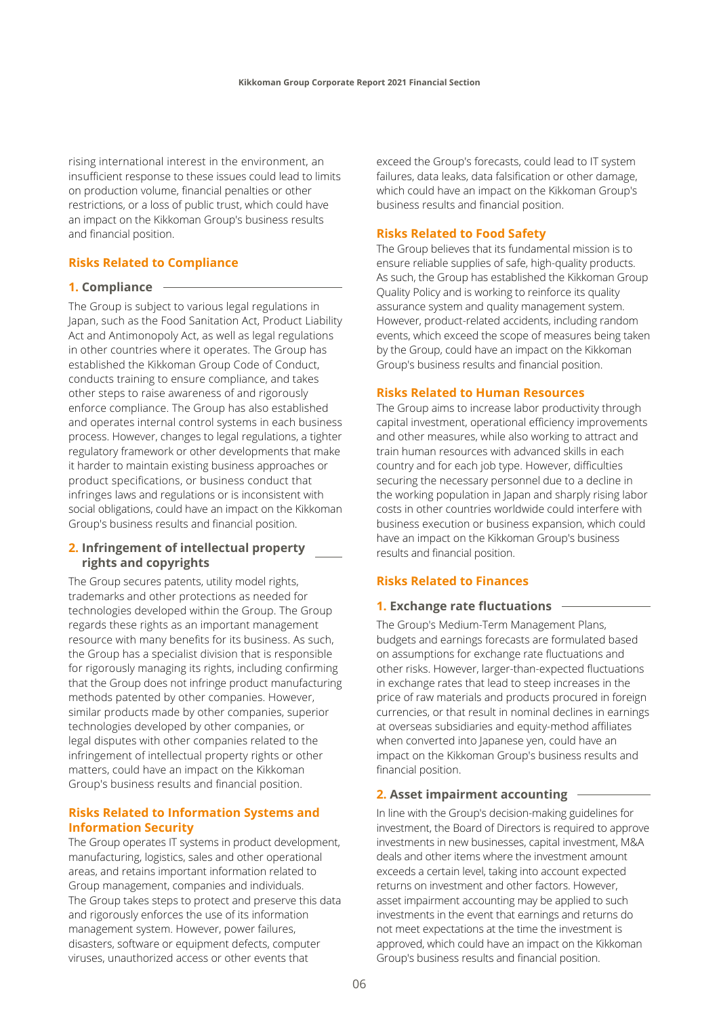rising international interest in the environment, an insufficient response to these issues could lead to limits on production volume, financial penalties or other restrictions, or a loss of public trust, which could have an impact on the Kikkoman Group's business results and financial position.

# **Risks Related to Compliance**

#### **1. Compliance**

The Group is subject to various legal regulations in Japan, such as the Food Sanitation Act, Product Liability Act and Antimonopoly Act, as well as legal regulations in other countries where it operates. The Group has established the Kikkoman Group Code of Conduct, conducts training to ensure compliance, and takes other steps to raise awareness of and rigorously enforce compliance. The Group has also established and operates internal control systems in each business process. However, changes to legal regulations, a tighter regulatory framework or other developments that make it harder to maintain existing business approaches or product specifications, or business conduct that infringes laws and regulations or is inconsistent with social obligations, could have an impact on the Kikkoman Group's business results and financial position.

### **2. Infringement of intellectual property rights and copyrights**

The Group secures patents, utility model rights, trademarks and other protections as needed for technologies developed within the Group. The Group regards these rights as an important management resource with many benefits for its business. As such, the Group has a specialist division that is responsible for rigorously managing its rights, including confirming that the Group does not infringe product manufacturing methods patented by other companies. However, similar products made by other companies, superior technologies developed by other companies, or legal disputes with other companies related to the infringement of intellectual property rights or other matters, could have an impact on the Kikkoman Group's business results and financial position.

#### **Risks Related to Information Systems and Information Security**

The Group operates IT systems in product development, manufacturing, logistics, sales and other operational areas, and retains important information related to Group management, companies and individuals. The Group takes steps to protect and preserve this data and rigorously enforces the use of its information management system. However, power failures, disasters, software or equipment defects, computer viruses, unauthorized access or other events that

exceed the Group's forecasts, could lead to IT system failures, data leaks, data falsification or other damage, which could have an impact on the Kikkoman Group's business results and financial position.

### **Risks Related to Food Safety**

The Group believes that its fundamental mission is to ensure reliable supplies of safe, high-quality products. As such, the Group has established the Kikkoman Group Quality Policy and is working to reinforce its quality assurance system and quality management system. However, product-related accidents, including random events, which exceed the scope of measures being taken by the Group, could have an impact on the Kikkoman Group's business results and financial position.

#### **Risks Related to Human Resources**

The Group aims to increase labor productivity through capital investment, operational efficiency improvements and other measures, while also working to attract and train human resources with advanced skills in each country and for each job type. However, difficulties securing the necessary personnel due to a decline in the working population in Japan and sharply rising labor costs in other countries worldwide could interfere with business execution or business expansion, which could have an impact on the Kikkoman Group's business results and financial position.

## **Risks Related to Finances**

#### **1. Exchange rate fluctuations**

The Group's Medium-Term Management Plans, budgets and earnings forecasts are formulated based on assumptions for exchange rate fluctuations and other risks. However, larger-than-expected fluctuations in exchange rates that lead to steep increases in the price of raw materials and products procured in foreign currencies, or that result in nominal declines in earnings at overseas subsidiaries and equity-method affiliates when converted into Japanese yen, could have an impact on the Kikkoman Group's business results and financial position.

#### **2. Asset impairment accounting**

In line with the Group's decision-making guidelines for investment, the Board of Directors is required to approve investments in new businesses, capital investment, M&A deals and other items where the investment amount exceeds a certain level, taking into account expected returns on investment and other factors. However, asset impairment accounting may be applied to such investments in the event that earnings and returns do not meet expectations at the time the investment is approved, which could have an impact on the Kikkoman Group's business results and financial position.